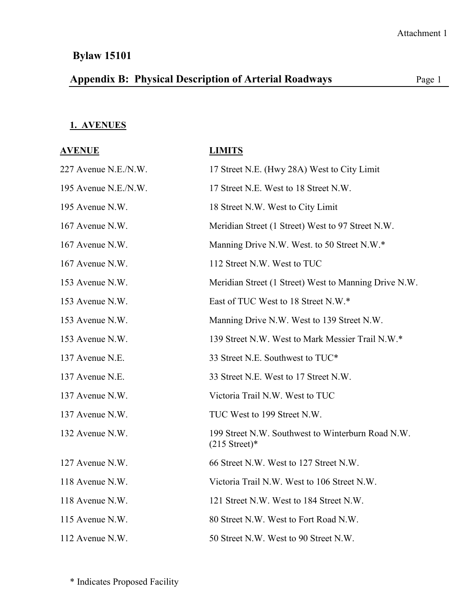# **Appendix B: Physical Description of Arterial Roadways** Page 1

#### **1. AVENUES**

| <u>AVENUE</u>        | <b>LIMITS</b>                                                                 |
|----------------------|-------------------------------------------------------------------------------|
| 227 Avenue N.E./N.W. | 17 Street N.E. (Hwy 28A) West to City Limit                                   |
| 195 Avenue N.E./N.W. | 17 Street N.E. West to 18 Street N.W.                                         |
| 195 Avenue N.W.      | 18 Street N.W. West to City Limit                                             |
| 167 Avenue N.W.      | Meridian Street (1 Street) West to 97 Street N.W.                             |
| 167 Avenue N.W.      | Manning Drive N.W. West. to 50 Street N.W.*                                   |
| 167 Avenue N.W.      | 112 Street N.W. West to TUC                                                   |
| 153 Avenue N.W.      | Meridian Street (1 Street) West to Manning Drive N.W.                         |
| 153 Avenue N.W.      | East of TUC West to 18 Street N.W.*                                           |
| 153 Avenue N.W.      | Manning Drive N.W. West to 139 Street N.W.                                    |
| 153 Avenue N.W.      | 139 Street N.W. West to Mark Messier Trail N.W.*                              |
| 137 Avenue N.E.      | 33 Street N.E. Southwest to TUC*                                              |
| 137 Avenue N.E.      | 33 Street N.E. West to 17 Street N.W.                                         |
| 137 Avenue N.W.      | Victoria Trail N.W. West to TUC                                               |
| 137 Avenue N.W.      | TUC West to 199 Street N.W.                                                   |
| 132 Avenue N.W.      | 199 Street N.W. Southwest to Winterburn Road N.W.<br>$(215 \text{ Street})^*$ |
| 127 Avenue N.W.      | 66 Street N.W. West to 127 Street N.W.                                        |
| 118 Avenue N.W.      | Victoria Trail N.W. West to 106 Street N.W.                                   |
| 118 Avenue N.W.      | 121 Street N.W. West to 184 Street N.W.                                       |
| 115 Avenue N.W.      | 80 Street N.W. West to Fort Road N.W.                                         |
| 112 Avenue N.W.      | 50 Street N.W. West to 90 Street N.W.                                         |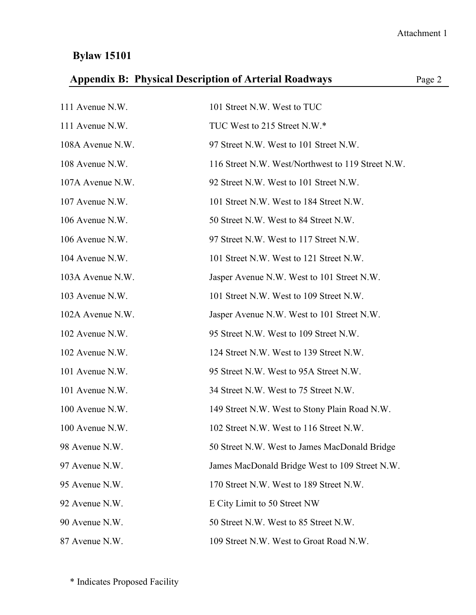| <b>Appendix B: Physical Description of Arterial Roadways</b><br>Page 2 |                                                   |  |
|------------------------------------------------------------------------|---------------------------------------------------|--|
| 111 Avenue N.W.                                                        | 101 Street N.W. West to TUC                       |  |
| 111 Avenue N.W.                                                        | TUC West to 215 Street N.W.*                      |  |
| 108A Avenue N.W.                                                       | 97 Street N.W. West to 101 Street N.W.            |  |
| 108 Avenue N.W.                                                        | 116 Street N.W. West/Northwest to 119 Street N.W. |  |
| 107A Avenue N.W.                                                       | 92 Street N.W. West to 101 Street N.W.            |  |
| 107 Avenue N.W.                                                        | 101 Street N.W. West to 184 Street N.W.           |  |
| 106 Avenue N.W.                                                        | 50 Street N.W. West to 84 Street N.W.             |  |
| 106 Avenue N.W.                                                        | 97 Street N.W. West to 117 Street N.W.            |  |
| 104 Avenue N.W.                                                        | 101 Street N.W. West to 121 Street N.W.           |  |
| 103A Avenue N.W.                                                       | Jasper Avenue N.W. West to 101 Street N.W.        |  |
| 103 Avenue N.W.                                                        | 101 Street N.W. West to 109 Street N.W.           |  |
| 102A Avenue N.W.                                                       | Jasper Avenue N.W. West to 101 Street N.W.        |  |
| 102 Avenue N.W.                                                        | 95 Street N.W. West to 109 Street N.W.            |  |
| 102 Avenue N.W.                                                        | 124 Street N.W. West to 139 Street N.W.           |  |
| 101 Avenue N.W.                                                        | 95 Street N.W. West to 95A Street N.W.            |  |
| 101 Avenue N.W.                                                        | 34 Street N.W. West to 75 Street N.W.             |  |
| 100 Avenue N.W.                                                        | 149 Street N.W. West to Stony Plain Road N.W.     |  |
| 100 Avenue N.W.                                                        | 102 Street N.W. West to 116 Street N.W.           |  |
| 98 Avenue N.W.                                                         | 50 Street N.W. West to James MacDonald Bridge     |  |
| 97 Avenue N.W.                                                         | James MacDonald Bridge West to 109 Street N.W.    |  |
| 95 Avenue N.W.                                                         | 170 Street N.W. West to 189 Street N.W.           |  |
| 92 Avenue N.W.                                                         | E City Limit to 50 Street NW                      |  |
| 90 Avenue N.W.                                                         | 50 Street N.W. West to 85 Street N.W.             |  |
| 87 Avenue N.W.                                                         | 109 Street N.W. West to Groat Road N.W.           |  |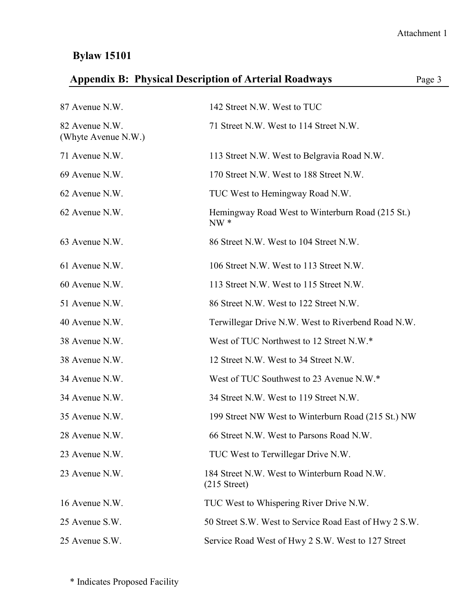|                                       | <b>Appendix B: Physical Description of Arterial Roadways</b>           | Page 3 |
|---------------------------------------|------------------------------------------------------------------------|--------|
| 87 Avenue N.W.                        | 142 Street N.W. West to TUC                                            |        |
| 82 Avenue N.W.<br>(Whyte Avenue N.W.) | 71 Street N.W. West to 114 Street N.W.                                 |        |
| 71 Avenue N.W.                        | 113 Street N.W. West to Belgravia Road N.W.                            |        |
| 69 Avenue N.W.                        | 170 Street N.W. West to 188 Street N.W.                                |        |
| 62 Avenue N.W.                        | TUC West to Hemingway Road N.W.                                        |        |
| 62 Avenue N.W.                        | Hemingway Road West to Winterburn Road (215 St.)<br>$NW *$             |        |
| 63 Avenue N.W.                        | 86 Street N.W. West to 104 Street N.W.                                 |        |
| 61 Avenue N.W.                        | 106 Street N.W. West to 113 Street N.W.                                |        |
| 60 Avenue N.W.                        | 113 Street N.W. West to 115 Street N.W.                                |        |
| 51 Avenue N.W.                        | 86 Street N.W. West to 122 Street N.W.                                 |        |
| 40 Avenue N.W.                        | Terwillegar Drive N.W. West to Riverbend Road N.W.                     |        |
| 38 Avenue N.W.                        | West of TUC Northwest to 12 Street N.W.*                               |        |
| 38 Avenue N.W.                        | 12 Street N.W. West to 34 Street N.W.                                  |        |
| 34 Avenue N.W.                        | West of TUC Southwest to 23 Avenue N.W.*                               |        |
| 34 Avenue N.W.                        | 34 Street N.W. West to 119 Street N.W.                                 |        |
| 35 Avenue N.W.                        | 199 Street NW West to Winterburn Road (215 St.) NW                     |        |
| 28 Avenue N.W.                        | 66 Street N.W. West to Parsons Road N.W.                               |        |
| 23 Avenue N.W.                        | TUC West to Terwillegar Drive N.W.                                     |        |
| 23 Avenue N.W.                        | 184 Street N.W. West to Winterburn Road N.W.<br>$(215 \text{ Street})$ |        |
| 16 Avenue N.W.                        | TUC West to Whispering River Drive N.W.                                |        |
| 25 Avenue S.W.                        | 50 Street S.W. West to Service Road East of Hwy 2 S.W.                 |        |
| 25 Avenue S.W.                        | Service Road West of Hwy 2 S.W. West to 127 Street                     |        |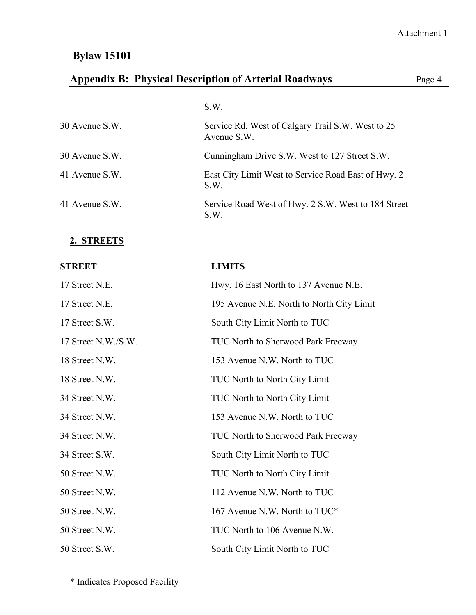# **Appendix B: Physical Description of Arterial Roadways** Page 4

|                | S.W.                                                             |
|----------------|------------------------------------------------------------------|
| 30 Avenue S.W. | Service Rd. West of Calgary Trail S.W. West to 25<br>Avenue S.W. |
| 30 Avenue S.W. | Cunningham Drive S.W. West to 127 Street S.W.                    |
| 41 Avenue S.W. | East City Limit West to Service Road East of Hwy. 2<br>S.W.      |
| 41 Avenue S.W. | Service Road West of Hwy. 2 S.W. West to 184 Street<br>S.W.      |

#### **2. STREETS**

| <b>STREET</b>       | <b>LIMITS</b>                             |
|---------------------|-------------------------------------------|
| 17 Street N.E.      | Hwy. 16 East North to 137 Avenue N.E.     |
| 17 Street N.E.      | 195 Avenue N.E. North to North City Limit |
| 17 Street S.W.      | South City Limit North to TUC             |
| 17 Street N.W./S.W. | TUC North to Sherwood Park Freeway        |
| 18 Street N.W.      | 153 Avenue N.W. North to TUC              |
| 18 Street N.W.      | <b>TUC North to North City Limit</b>      |
| 34 Street N.W.      | TUC North to North City Limit             |
| 34 Street N.W.      | 153 Avenue N.W. North to TUC              |
| 34 Street N.W.      | TUC North to Sherwood Park Freeway        |
| 34 Street S.W.      | South City Limit North to TUC             |
| 50 Street N.W.      | TUC North to North City Limit             |
| 50 Street N.W.      | 112 Avenue N.W. North to TUC              |
| 50 Street N.W.      | 167 Avenue N.W. North to TUC*             |
| 50 Street N.W.      | TUC North to 106 Avenue N.W.              |
| 50 Street S.W.      | South City Limit North to TUC             |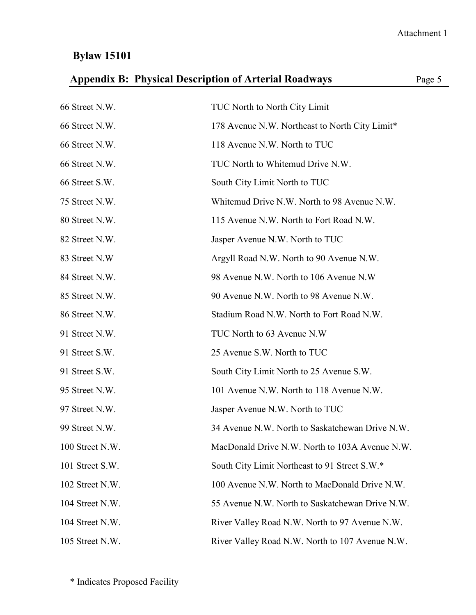|  |  | <b>Appendix B: Physical Description of Arterial Roadways</b> | Page 5 |
|--|--|--------------------------------------------------------------|--------|
|--|--|--------------------------------------------------------------|--------|

| 66 Street N.W.  | TUC North to North City Limit                   |
|-----------------|-------------------------------------------------|
| 66 Street N.W.  | 178 Avenue N.W. Northeast to North City Limit*  |
| 66 Street N.W.  | 118 Avenue N.W. North to TUC                    |
| 66 Street N.W.  | TUC North to Whitemud Drive N.W.                |
| 66 Street S.W.  | South City Limit North to TUC                   |
| 75 Street N.W.  | Whitemud Drive N.W. North to 98 Avenue N.W.     |
| 80 Street N.W.  | 115 Avenue N.W. North to Fort Road N.W.         |
| 82 Street N.W.  | Jasper Avenue N.W. North to TUC                 |
| 83 Street N.W   | Argyll Road N.W. North to 90 Avenue N.W.        |
| 84 Street N.W.  | 98 Avenue N.W. North to 106 Avenue N.W          |
| 85 Street N.W.  | 90 Avenue N.W. North to 98 Avenue N.W.          |
| 86 Street N.W.  | Stadium Road N.W. North to Fort Road N.W.       |
| 91 Street N.W.  | TUC North to 63 Avenue N.W                      |
| 91 Street S.W.  | 25 Avenue S.W. North to TUC                     |
| 91 Street S.W.  | South City Limit North to 25 Avenue S.W.        |
| 95 Street N.W.  | 101 Avenue N.W. North to 118 Avenue N.W.        |
| 97 Street N.W.  | Jasper Avenue N.W. North to TUC                 |
| 99 Street N.W.  | 34 Avenue N.W. North to Saskatchewan Drive N.W. |
| 100 Street N.W. | MacDonald Drive N.W. North to 103A Avenue N.W.  |
| 101 Street S.W. | South City Limit Northeast to 91 Street S.W.*   |
| 102 Street N.W. | 100 Avenue N.W. North to MacDonald Drive N.W.   |
| 104 Street N.W. | 55 Avenue N.W. North to Saskatchewan Drive N.W. |
| 104 Street N.W. | River Valley Road N.W. North to 97 Avenue N.W.  |
| 105 Street N.W. | River Valley Road N.W. North to 107 Avenue N.W. |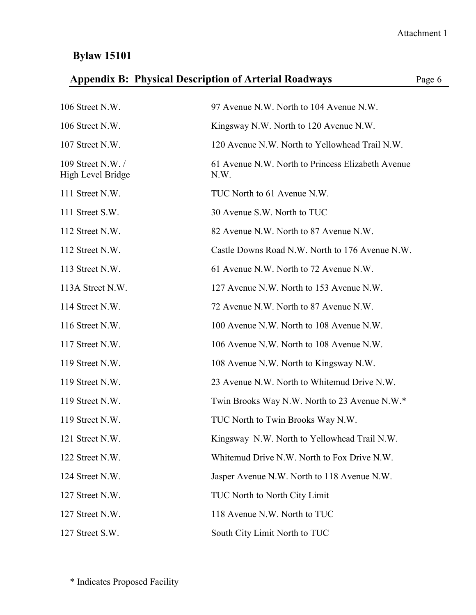|  | <b>Appendix B: Physical Description of Arterial Roadways</b> |  | Page 6 |
|--|--------------------------------------------------------------|--|--------|
|--|--------------------------------------------------------------|--|--------|

| 106 Street N.W.                       | 97 Avenue N.W. North to 104 Avenue N.W.                   |
|---------------------------------------|-----------------------------------------------------------|
| 106 Street N.W.                       | Kingsway N.W. North to 120 Avenue N.W.                    |
| 107 Street N.W.                       | 120 Avenue N.W. North to Yellowhead Trail N.W.            |
| 109 Street N.W./<br>High Level Bridge | 61 Avenue N.W. North to Princess Elizabeth Avenue<br>N.W. |
| 111 Street N.W.                       | TUC North to 61 Avenue N.W.                               |
| 111 Street S.W.                       | 30 Avenue S.W. North to TUC                               |
| 112 Street N.W.                       | 82 Avenue N.W. North to 87 Avenue N.W.                    |
| 112 Street N.W.                       | Castle Downs Road N.W. North to 176 Avenue N.W.           |
| 113 Street N.W.                       | 61 Avenue N.W. North to 72 Avenue N.W.                    |
| 113A Street N.W.                      | 127 Avenue N.W. North to 153 Avenue N.W.                  |
| 114 Street N.W.                       | 72 Avenue N.W. North to 87 Avenue N.W.                    |
| 116 Street N.W.                       | 100 Avenue N.W. North to 108 Avenue N.W.                  |
| 117 Street N.W.                       | 106 Avenue N.W. North to 108 Avenue N.W.                  |
| 119 Street N.W.                       | 108 Avenue N.W. North to Kingsway N.W.                    |
| 119 Street N.W.                       | 23 Avenue N.W. North to Whitemud Drive N.W.               |
| 119 Street N.W.                       | Twin Brooks Way N.W. North to 23 Avenue N.W.*             |
| 119 Street N.W.                       | TUC North to Twin Brooks Way N.W.                         |
| 121 Street N.W.                       | Kingsway N.W. North to Yellowhead Trail N.W.              |
| 122 Street N.W.                       | Whitemud Drive N.W. North to Fox Drive N.W.               |
| 124 Street N.W.                       | Jasper Avenue N.W. North to 118 Avenue N.W.               |
| 127 Street N.W.                       | TUC North to North City Limit                             |
| 127 Street N.W.                       | 118 Avenue N.W. North to TUC                              |
| 127 Street S.W.                       | South City Limit North to TUC                             |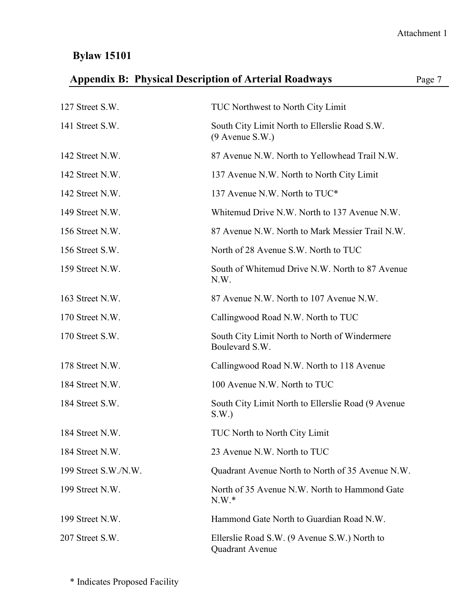| 127 Street S.W.      | <b>TUC Northwest to North City Limit</b>                               |
|----------------------|------------------------------------------------------------------------|
| 141 Street S.W.      | South City Limit North to Ellerslie Road S.W.<br>$(9$ Avenue S.W.)     |
| 142 Street N.W.      | 87 Avenue N.W. North to Yellowhead Trail N.W.                          |
| 142 Street N.W.      | 137 Avenue N.W. North to North City Limit                              |
| 142 Street N.W.      | 137 Avenue N.W. North to TUC*                                          |
| 149 Street N.W.      | Whitemud Drive N.W. North to 137 Avenue N.W.                           |
| 156 Street N.W.      | 87 Avenue N.W. North to Mark Messier Trail N.W.                        |
| 156 Street S.W.      | North of 28 Avenue S.W. North to TUC                                   |
| 159 Street N.W.      | South of Whitemud Drive N.W. North to 87 Avenue<br>N.W.                |
| 163 Street N.W.      | 87 Avenue N.W. North to 107 Avenue N.W.                                |
| 170 Street N.W.      | Callingwood Road N.W. North to TUC                                     |
| 170 Street S.W.      | South City Limit North to North of Windermere<br>Boulevard S.W.        |
| 178 Street N.W.      | Callingwood Road N.W. North to 118 Avenue                              |
| 184 Street N.W.      | 100 Avenue N.W. North to TUC                                           |
| 184 Street S.W.      | South City Limit North to Ellerslie Road (9 Avenue)<br>S.W.            |
| 184 Street N.W.      | TUC North to North City Limit                                          |
| 184 Street N.W.      | 23 Avenue N.W. North to TUC                                            |
| 199 Street S.W./N.W. | Quadrant Avenue North to North of 35 Avenue N.W.                       |
| 199 Street N.W.      | North of 35 Avenue N.W. North to Hammond Gate<br>$N.W.*$               |
| 199 Street N.W.      | Hammond Gate North to Guardian Road N.W.                               |
| 207 Street S.W.      | Ellerslie Road S.W. (9 Avenue S.W.) North to<br><b>Quadrant Avenue</b> |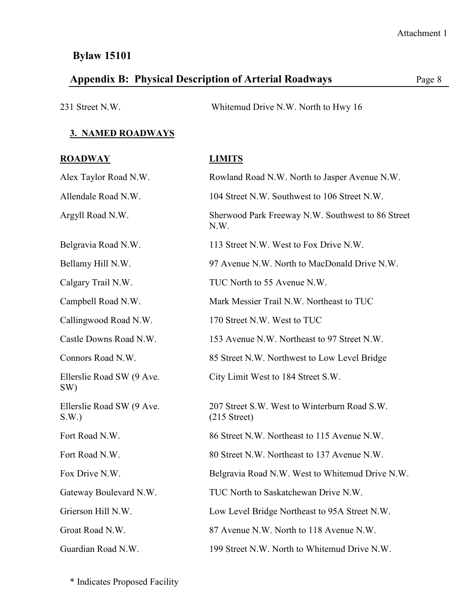# Appendix B: Physical Description of Arterial Roadways Page 8

| 231 Street N.W. | Whitemud Drive N.W. North to Hwy 16 |
|-----------------|-------------------------------------|
|                 |                                     |

#### **3. NAMED ROADWAYS**

| <b>ROADWAY</b>                    | <b>LIMITS</b>                                                  |
|-----------------------------------|----------------------------------------------------------------|
| Alex Taylor Road N.W.             | Rowland Road N.W. North to Jasper Avenue N.W.                  |
| Allendale Road N.W.               | 104 Street N.W. Southwest to 106 Street N.W.                   |
| Argyll Road N.W.                  | Sherwood Park Freeway N.W. Southwest to 86 Street<br>N.W.      |
| Belgravia Road N.W.               | 113 Street N.W. West to Fox Drive N.W.                         |
| Bellamy Hill N.W.                 | 97 Avenue N.W. North to MacDonald Drive N.W.                   |
| Calgary Trail N.W.                | TUC North to 55 Avenue N.W.                                    |
| Campbell Road N.W.                | Mark Messier Trail N.W. Northeast to TUC                       |
| Callingwood Road N.W.             | 170 Street N.W. West to TUC                                    |
| Castle Downs Road N.W.            | 153 Avenue N.W. Northeast to 97 Street N.W.                    |
| Connors Road N.W.                 | 85 Street N.W. Northwest to Low Level Bridge                   |
| Ellerslie Road SW (9 Ave.<br>SW)  | City Limit West to 184 Street S.W.                             |
| Ellerslie Road SW (9 Ave.<br>S.W. | 207 Street S.W. West to Winterburn Road S.W.<br>$(215$ Street) |
| Fort Road N.W.                    | 86 Street N.W. Northeast to 115 Avenue N.W.                    |
| Fort Road N.W.                    | 80 Street N.W. Northeast to 137 Avenue N.W.                    |
| Fox Drive N.W.                    | Belgravia Road N.W. West to Whitemud Drive N.W.                |
| Gateway Boulevard N.W.            | TUC North to Saskatchewan Drive N.W.                           |
| Grierson Hill N.W.                | Low Level Bridge Northeast to 95A Street N.W.                  |
| Groat Road N.W.                   | 87 Avenue N.W. North to 118 Avenue N.W.                        |
| Guardian Road N.W.                | 199 Street N.W. North to Whitemud Drive N.W.                   |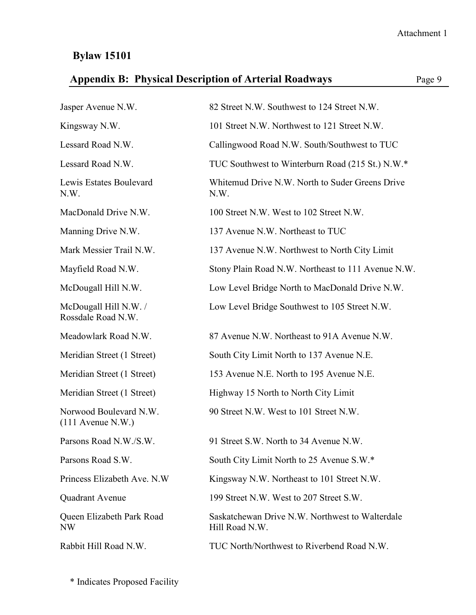|  | <b>Appendix B: Physical Description of Arterial Roadways</b> |  | Page 9 |
|--|--------------------------------------------------------------|--|--------|
|--|--------------------------------------------------------------|--|--------|

| Jasper Avenue N.W.                            | 82 Street N.W. Southwest to 124 Street N.W.                       |
|-----------------------------------------------|-------------------------------------------------------------------|
| Kingsway N.W.                                 | 101 Street N.W. Northwest to 121 Street N.W.                      |
| Lessard Road N.W.                             | Callingwood Road N.W. South/Southwest to TUC                      |
| Lessard Road N.W.                             | TUC Southwest to Winterburn Road (215 St.) N.W.*                  |
| Lewis Estates Boulevard<br>N.W.               | Whitemud Drive N.W. North to Suder Greens Drive<br>N.W.           |
| MacDonald Drive N.W.                          | 100 Street N.W. West to 102 Street N.W.                           |
| Manning Drive N.W.                            | 137 Avenue N.W. Northeast to TUC                                  |
| Mark Messier Trail N.W.                       | 137 Avenue N.W. Northwest to North City Limit                     |
| Mayfield Road N.W.                            | Stony Plain Road N.W. Northeast to 111 Avenue N.W.                |
| McDougall Hill N.W.                           | Low Level Bridge North to MacDonald Drive N.W.                    |
| McDougall Hill N.W. /<br>Rossdale Road N.W.   | Low Level Bridge Southwest to 105 Street N.W.                     |
| Meadowlark Road N.W.                          | 87 Avenue N.W. Northeast to 91A Avenue N.W.                       |
| Meridian Street (1 Street)                    | South City Limit North to 137 Avenue N.E.                         |
| Meridian Street (1 Street)                    | 153 Avenue N.E. North to 195 Avenue N.E.                          |
| Meridian Street (1 Street)                    | Highway 15 North to North City Limit                              |
| Norwood Boulevard N.W.<br>$(111$ Avenue N.W.) | 90 Street N.W. West to 101 Street N.W.                            |
| Parsons Road N.W./S.W.                        | 91 Street S.W. North to 34 Avenue N.W.                            |
| Parsons Road S.W.                             | South City Limit North to 25 Avenue S.W.*                         |
| Princess Elizabeth Ave. N.W.                  | Kingsway N.W. Northeast to 101 Street N.W.                        |
| Quadrant Avenue                               | 199 Street N.W. West to 207 Street S.W.                           |
| Queen Elizabeth Park Road<br><b>NW</b>        | Saskatchewan Drive N.W. Northwest to Walterdale<br>Hill Road N.W. |
| Rabbit Hill Road N.W.                         | TUC North/Northwest to Riverbend Road N.W.                        |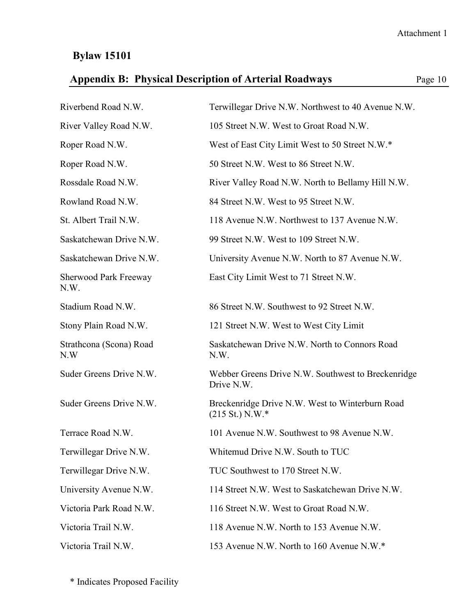# **Appendix B: Physical Description of Arterial Roadways** Page 10

| Riverbend Road N.W.                  | Terwillegar Drive N.W. Northwest to 40 Avenue N.W.                           |
|--------------------------------------|------------------------------------------------------------------------------|
| River Valley Road N.W.               | 105 Street N.W. West to Groat Road N.W.                                      |
| Roper Road N.W.                      | West of East City Limit West to 50 Street N.W.*                              |
| Roper Road N.W.                      | 50 Street N.W. West to 86 Street N.W.                                        |
| Rossdale Road N.W.                   | River Valley Road N.W. North to Bellamy Hill N.W.                            |
| Rowland Road N.W.                    | 84 Street N.W. West to 95 Street N.W.                                        |
| St. Albert Trail N.W.                | 118 Avenue N.W. Northwest to 137 Avenue N.W.                                 |
| Saskatchewan Drive N.W.              | 99 Street N.W. West to 109 Street N.W.                                       |
| Saskatchewan Drive N.W.              | University Avenue N.W. North to 87 Avenue N.W.                               |
| <b>Sherwood Park Freeway</b><br>N.W. | East City Limit West to 71 Street N.W.                                       |
| Stadium Road N.W.                    | 86 Street N.W. Southwest to 92 Street N.W.                                   |
| Stony Plain Road N.W.                | 121 Street N.W. West to West City Limit                                      |
| Strathcona (Scona) Road<br>N.W       | Saskatchewan Drive N.W. North to Connors Road<br>N.W.                        |
| Suder Greens Drive N.W.              | Webber Greens Drive N.W. Southwest to Breckenridge<br>Drive N.W.             |
| Suder Greens Drive N.W.              | Breckenridge Drive N.W. West to Winterburn Road<br>$(215 \text{ St.})$ N.W.* |
| Terrace Road N.W.                    | 101 Avenue N.W. Southwest to 98 Avenue N.W.                                  |
| Terwillegar Drive N.W.               | Whitemud Drive N.W. South to TUC                                             |
| Terwillegar Drive N.W.               | TUC Southwest to 170 Street N.W.                                             |
| University Avenue N.W.               | 114 Street N.W. West to Saskatchewan Drive N.W.                              |
| Victoria Park Road N.W.              | 116 Street N.W. West to Groat Road N.W.                                      |
| Victoria Trail N.W.                  | 118 Avenue N.W. North to 153 Avenue N.W.                                     |
| Victoria Trail N.W.                  | 153 Avenue N.W. North to 160 Avenue N.W.*                                    |